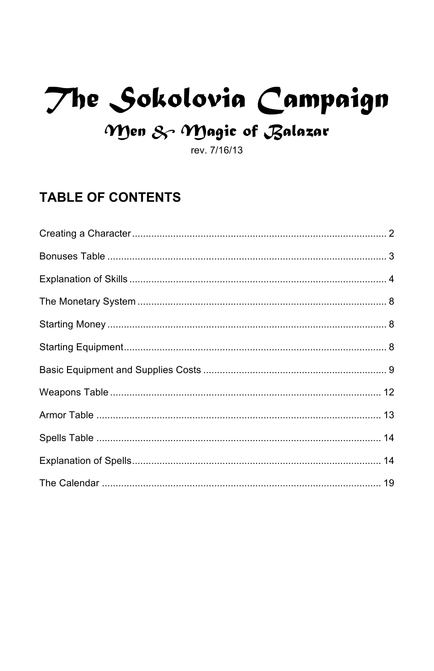# The Sokolovia Campaign

# Men & Magic of Balazar

rev. 7/16/13

# **TABLE OF CONTENTS**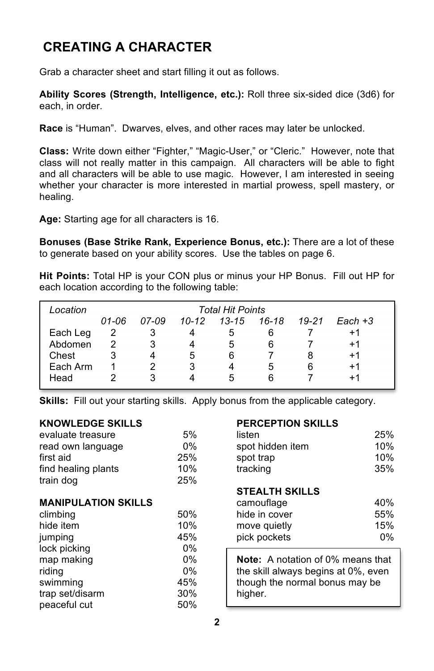# **CREATING A CHARACTER**

Grab a character sheet and start filling it out as follows.

**Ability Scores (Strength, Intelligence, etc.):** Roll three six-sided dice (3d6) for each, in order.

**Race** is "Human". Dwarves, elves, and other races may later be unlocked.

**Class:** Write down either "Fighter," "Magic-User," or "Cleric." However, note that class will not really matter in this campaign. All characters will be able to fight and all characters will be able to use magic. However, I am interested in seeing whether your character is more interested in martial prowess, spell mastery, or healing.

**Age:** Starting age for all characters is 16.

**Bonuses (Base Strike Rank, Experience Bonus, etc.):** There are a lot of these to generate based on your ability scores. Use the tables on page 6.

**Hit Points:** Total HP is your CON plus or minus your HP Bonus. Fill out HP for each location according to the following table:

| Location | <b>Total Hit Points</b> |       |       |           |       |       |           |
|----------|-------------------------|-------|-------|-----------|-------|-------|-----------|
|          | 01-06                   | 07-09 | 10-12 | $13 - 15$ | 16-18 | 19-21 | $Each +3$ |
| Each Leg | 2                       | 3     |       | 5         | 6     |       | $+1$      |
| Abdomen  | 2                       | 3     |       | 5         | 6     |       | +1        |
| Chest    | 3                       |       | 5     | 6         |       | 8     | +1        |
| Each Arm |                         |       | 3     |           | ۰.    | 6     | +1        |
| Head     |                         |       |       | b         | 6     |       | +1        |

**Skills:** Fill out your starting skills. Apply bonus from the applicable category.

# **KNOWLEDGE SKILLS PERCEPTION SKILLS**

| evaluate treasure   | 5%  | listen           | 25% |
|---------------------|-----|------------------|-----|
| read own language   | 0%  | spot hidden item | 10% |
| first aid           | 25% | spot trap        | 10% |
| find healing plants | 10% | tracking         | 35% |
| train dog           | 25% |                  |     |
|                     |     |                  |     |

# **MANIPULATION SKILLS**

| climbing        | 50%   | hide in cover                            | 55% |
|-----------------|-------|------------------------------------------|-----|
| hide item       | 10%   | move quietly                             | 15% |
| jumping         | 45%   | pick pockets                             | 0%  |
| lock picking    | $0\%$ |                                          |     |
| map making      | $0\%$ | <b>Note:</b> A notation of 0% means that |     |
| riding          | $0\%$ | the skill always begins at 0%, even      |     |
| swimming        | 45%   | though the normal bonus may be           |     |
| trap set/disarm | 30%   | higher.                                  |     |
| peaceful cut    | 50%   |                                          |     |

| listen           | 25% |
|------------------|-----|
| spot hidden item | 10% |
| spot trap        | 10% |
| tracking         | 35% |

# **STEALTH SKILLS**

| camouflage    | 40%   |
|---------------|-------|
| hide in cover | 55%   |
| move quietly  | 15%   |
| pick pockets  | $0\%$ |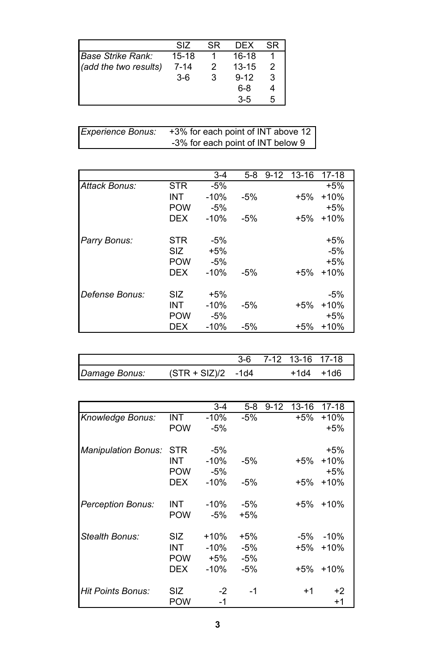|                       | SIZ       | SR | DFX       | SR |
|-----------------------|-----------|----|-----------|----|
| Base Strike Rank:     | $15 - 18$ |    | 16-18     |    |
| (add the two results) | $7 - 14$  | 2  | $13 - 15$ | 2  |
|                       | $3-6$     | 3  | $9 - 12$  | 3  |
|                       |           |    | $6-8$     | 4  |
|                       |           |    | $3-5$     | 5  |

| <b>Experience Bonus:</b> | +3% for each point of INT above 12 |
|--------------------------|------------------------------------|
|                          | -3% for each point of INT below 9  |

|                |            | $3 - 4$ | $5-8$ | $9 - 12$ | $13 - 16$ | $17-18$ |
|----------------|------------|---------|-------|----------|-----------|---------|
|                |            |         |       |          |           |         |
| Attack Bonus:  | STR        | $-5%$   |       |          |           | $+5%$   |
|                | <b>INT</b> | $-10%$  | $-5%$ |          | $+5%$     | $+10%$  |
|                | <b>POW</b> | $-5%$   |       |          |           | $+5%$   |
|                | <b>DEX</b> | $-10%$  | $-5%$ |          | $+5%$     | $+10%$  |
| Parry Bonus:   | <b>STR</b> | $-5%$   |       |          |           | $+5%$   |
|                | <b>SIZ</b> | $+5%$   |       |          |           | $-5%$   |
|                | <b>POW</b> | $-5%$   |       |          |           | $+5%$   |
|                | <b>DFX</b> | $-10%$  | $-5%$ |          | $+5%$     | $+10%$  |
| Defense Bonus: | <b>SIZ</b> | $+5%$   |       |          |           | $-5%$   |
|                | <b>INT</b> | $-10%$  | $-5%$ |          | $+5%$     | $+10%$  |
|                | <b>POW</b> | -5%     |       |          |           | $+5%$   |
|                | DEX        | $-10%$  | $-5%$ |          | $+5%$     | $+10%$  |

|               |                     |  | 3-6 7-12 13-16 17-18 |      |
|---------------|---------------------|--|----------------------|------|
| Damage Bonus: | $(STR + SL)/2$ -1d4 |  | +1d4                 | +1d6 |

|                            |            | $3-4$  | $5-8$ | $9 - 12$ | 13-16  | 17-18  |
|----------------------------|------------|--------|-------|----------|--------|--------|
| Knowledge Bonus:           | <b>INT</b> | $-10%$ | $-5%$ |          | $+5%$  | $+10%$ |
|                            | <b>POW</b> | $-5%$  |       |          |        | $+5%$  |
| <b>Manipulation Bonus:</b> | STR        | -5%    |       |          |        | +5%    |
|                            | INT        | $-10%$ | $-5%$ |          | $+5%$  | $+10%$ |
|                            | <b>POW</b> | $-5%$  |       |          |        | $+5%$  |
|                            | <b>DFX</b> | $-10%$ | $-5%$ |          | $+5%$  | $+10%$ |
| <b>Perception Bonus:</b>   | INT        | $-10%$ | $-5%$ |          | $+5%$  | $+10%$ |
|                            | <b>POW</b> | $-5%$  | $+5%$ |          |        |        |
| Stealth Bonus:             | SIZ        | $+10%$ | $+5%$ |          | $-5\%$ | $-10%$ |
|                            | INT        | $-10%$ | $-5%$ |          | $+5%$  | $+10%$ |
|                            | <b>POW</b> | +5%    | -5%   |          |        |        |
|                            | DEX        | $-10%$ | $-5%$ |          | $+5%$  | $+10%$ |
| Hit Points Bonus:          | SIZ.       | $-2$   | -1    |          | $+1$   | +2     |
|                            | <b>POW</b> | -1     |       |          |        | $+1$   |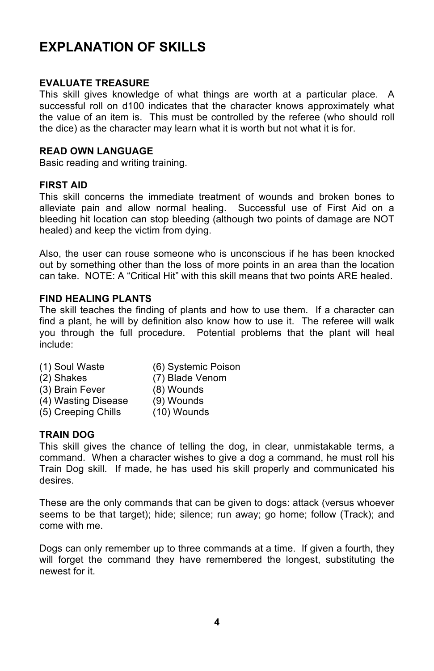# **EXPLANATION OF SKILLS**

# **EVALUATE TREASURE**

This skill gives knowledge of what things are worth at a particular place. A successful roll on d100 indicates that the character knows approximately what the value of an item is. This must be controlled by the referee (who should roll the dice) as the character may learn what it is worth but not what it is for.

# **READ OWN LANGUAGE**

Basic reading and writing training.

# **FIRST AID**

This skill concerns the immediate treatment of wounds and broken bones to alleviate pain and allow normal healing. Successful use of First Aid on a bleeding hit location can stop bleeding (although two points of damage are NOT healed) and keep the victim from dying.

Also, the user can rouse someone who is unconscious if he has been knocked out by something other than the loss of more points in an area than the location can take. NOTE: A "Critical Hit" with this skill means that two points ARE healed.

# **FIND HEALING PLANTS**

The skill teaches the finding of plants and how to use them. If a character can find a plant, he will by definition also know how to use it. The referee will walk you through the full procedure. Potential problems that the plant will heal include:

- (1) Soul Waste (6) Systemic Poison
- 
- (2) Shakes (7) Blade Venom
- (3) Brain Fever (8) Wounds
- (4) Wasting Disease (9) Wounds
- (5) Creeping Chills (10) Wounds

# **TRAIN DOG**

This skill gives the chance of telling the dog, in clear, unmistakable terms, a command. When a character wishes to give a dog a command, he must roll his Train Dog skill. If made, he has used his skill properly and communicated his desires.

These are the only commands that can be given to dogs: attack (versus whoever seems to be that target); hide; silence; run away; go home; follow (Track); and come with me.

Dogs can only remember up to three commands at a time. If given a fourth, they will forget the command they have remembered the longest, substituting the newest for it.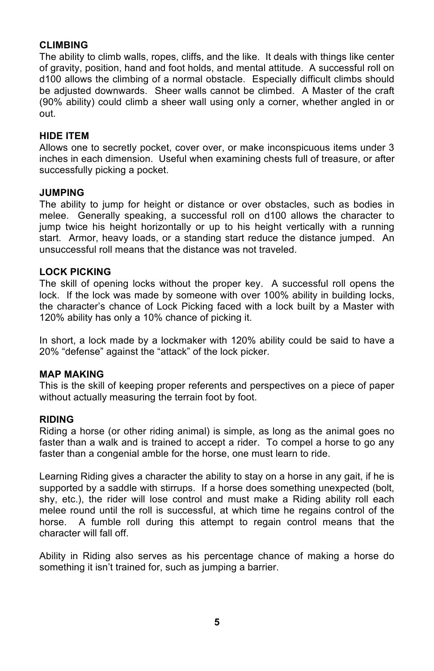# **CLIMBING**

The ability to climb walls, ropes, cliffs, and the like. It deals with things like center of gravity, position, hand and foot holds, and mental attitude. A successful roll on d100 allows the climbing of a normal obstacle. Especially difficult climbs should be adjusted downwards. Sheer walls cannot be climbed. A Master of the craft (90% ability) could climb a sheer wall using only a corner, whether angled in or out.

# **HIDE ITEM**

Allows one to secretly pocket, cover over, or make inconspicuous items under 3 inches in each dimension. Useful when examining chests full of treasure, or after successfully picking a pocket.

# **JUMPING**

The ability to jump for height or distance or over obstacles, such as bodies in melee. Generally speaking, a successful roll on d100 allows the character to jump twice his height horizontally or up to his height vertically with a running start. Armor, heavy loads, or a standing start reduce the distance jumped. An unsuccessful roll means that the distance was not traveled.

# **LOCK PICKING**

The skill of opening locks without the proper key. A successful roll opens the lock. If the lock was made by someone with over 100% ability in building locks, the character's chance of Lock Picking faced with a lock built by a Master with 120% ability has only a 10% chance of picking it.

In short, a lock made by a lockmaker with 120% ability could be said to have a 20% "defense" against the "attack" of the lock picker.

# **MAP MAKING**

This is the skill of keeping proper referents and perspectives on a piece of paper without actually measuring the terrain foot by foot.

# **RIDING**

Riding a horse (or other riding animal) is simple, as long as the animal goes no faster than a walk and is trained to accept a rider. To compel a horse to go any faster than a congenial amble for the horse, one must learn to ride.

Learning Riding gives a character the ability to stay on a horse in any gait, if he is supported by a saddle with stirrups. If a horse does something unexpected (bolt, shy, etc.), the rider will lose control and must make a Riding ability roll each melee round until the roll is successful, at which time he regains control of the horse. A fumble roll during this attempt to regain control means that the character will fall off.

Ability in Riding also serves as his percentage chance of making a horse do something it isn't trained for, such as jumping a barrier.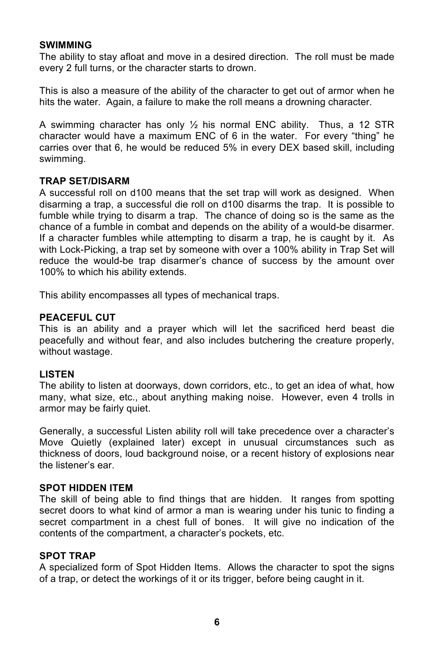# **SWIMMING**

The ability to stay afloat and move in a desired direction. The roll must be made every 2 full turns, or the character starts to drown.

This is also a measure of the ability of the character to get out of armor when he hits the water. Again, a failure to make the roll means a drowning character.

A swimming character has only  $\frac{1}{2}$  his normal ENC ability. Thus, a 12 STR character would have a maximum ENC of 6 in the water. For every "thing" he carries over that 6, he would be reduced 5% in every DEX based skill, including swimming.

## **TRAP SET/DISARM**

A successful roll on d100 means that the set trap will work as designed. When disarming a trap, a successful die roll on d100 disarms the trap. It is possible to fumble while trying to disarm a trap. The chance of doing so is the same as the chance of a fumble in combat and depends on the ability of a would-be disarmer. If a character fumbles while attempting to disarm a trap, he is caught by it. As with Lock-Picking, a trap set by someone with over a 100% ability in Trap Set will reduce the would-be trap disarmer's chance of success by the amount over 100% to which his ability extends.

This ability encompasses all types of mechanical traps.

## **PEACEFUL CUT**

This is an ability and a prayer which will let the sacrificed herd beast die peacefully and without fear, and also includes butchering the creature properly, without wastage.

## **LISTEN**

The ability to listen at doorways, down corridors, etc., to get an idea of what, how many, what size, etc., about anything making noise. However, even 4 trolls in armor may be fairly quiet.

Generally, a successful Listen ability roll will take precedence over a character's Move Quietly (explained later) except in unusual circumstances such as thickness of doors, loud background noise, or a recent history of explosions near the listener's ear.

## **SPOT HIDDEN ITEM**

The skill of being able to find things that are hidden. It ranges from spotting secret doors to what kind of armor a man is wearing under his tunic to finding a secret compartment in a chest full of bones. It will give no indication of the contents of the compartment, a character's pockets, etc.

# **SPOT TRAP**

A specialized form of Spot Hidden Items. Allows the character to spot the signs of a trap, or detect the workings of it or its trigger, before being caught in it.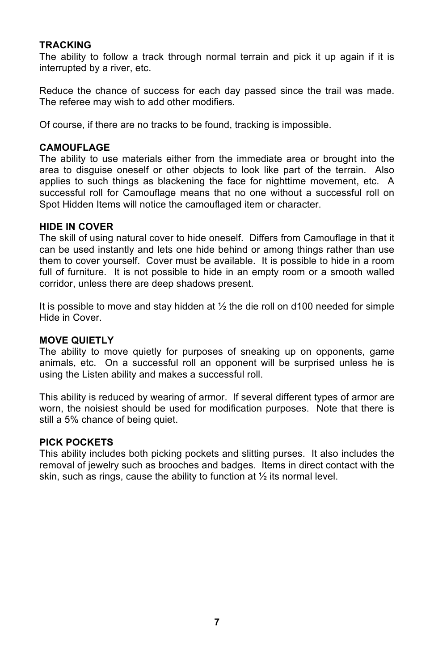# **TRACKING**

The ability to follow a track through normal terrain and pick it up again if it is interrupted by a river, etc.

Reduce the chance of success for each day passed since the trail was made. The referee may wish to add other modifiers.

Of course, if there are no tracks to be found, tracking is impossible.

## **CAMOUFLAGE**

The ability to use materials either from the immediate area or brought into the area to disguise oneself or other objects to look like part of the terrain. Also applies to such things as blackening the face for nighttime movement, etc. A successful roll for Camouflage means that no one without a successful roll on Spot Hidden Items will notice the camouflaged item or character.

## **HIDE IN COVER**

The skill of using natural cover to hide oneself. Differs from Camouflage in that it can be used instantly and lets one hide behind or among things rather than use them to cover yourself. Cover must be available. It is possible to hide in a room full of furniture. It is not possible to hide in an empty room or a smooth walled corridor, unless there are deep shadows present.

It is possible to move and stay hidden at  $\frac{1}{2}$  the die roll on d100 needed for simple Hide in Cover.

# **MOVE QUIETLY**

The ability to move quietly for purposes of sneaking up on opponents, game animals, etc. On a successful roll an opponent will be surprised unless he is using the Listen ability and makes a successful roll.

This ability is reduced by wearing of armor. If several different types of armor are worn, the noisiest should be used for modification purposes. Note that there is still a 5% chance of being quiet.

#### **PICK POCKETS**

This ability includes both picking pockets and slitting purses. It also includes the removal of jewelry such as brooches and badges. Items in direct contact with the skin, such as rings, cause the ability to function at ½ its normal level.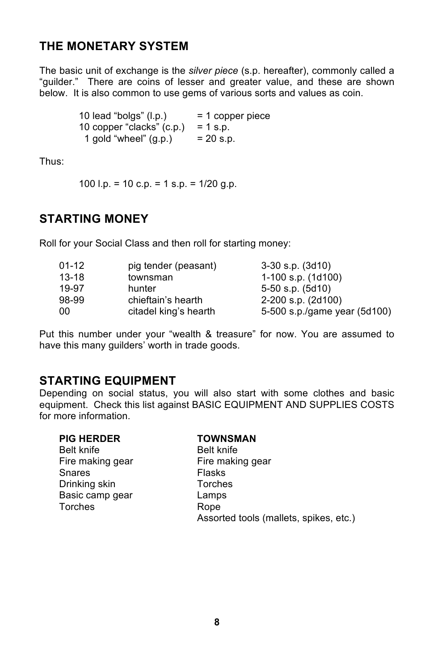# **THE MONETARY SYSTEM**

The basic unit of exchange is the *silver piece* (s.p. hereafter), commonly called a "guilder." There are coins of lesser and greater value, and these are shown below. It is also common to use gems of various sorts and values as coin.

> 10 lead "bolgs"  $(l.p.)$  = 1 copper piece 10 copper "clacks"  $(c.p.) = 1 s.p.$ 1 gold "wheel"  $(g.p.)$  = 20 s.p.

Thus:

100 l.p. = 10 c.p. = 1 s.p. =  $1/20$  g.p.

# **STARTING MONEY**

Roll for your Social Class and then roll for starting money:

| $01 - 12$ | pig tender (peasant)  | $3-30$ s.p. $(3d10)$         |
|-----------|-----------------------|------------------------------|
| $13 - 18$ | townsman              | $1-100$ s.p. $(1d100)$       |
| 19-97     | hunter                | $5-50$ s.p. $(5d10)$         |
| 98-99     | chieftain's hearth    | 2-200 s.p. (2d100)           |
| 00        | citadel king's hearth | 5-500 s.p./game year (5d100) |

Put this number under your "wealth & treasure" for now. You are assumed to have this many guilders' worth in trade goods.

# **STARTING EQUIPMENT**

Depending on social status, you will also start with some clothes and basic equipment. Check this list against BASIC EQUIPMENT AND SUPPLIES COSTS for more information.

|  |  | <b>PIG HERDER</b> |
|--|--|-------------------|
|--|--|-------------------|

Belt knife Belt knife Fire making gear Fire making gear Snares **Flasks** Drinking skin Torches Basic camp gear Lamps Torches Rope

# **PIG HERDER TOWNSMAN**

Assorted tools (mallets, spikes, etc.)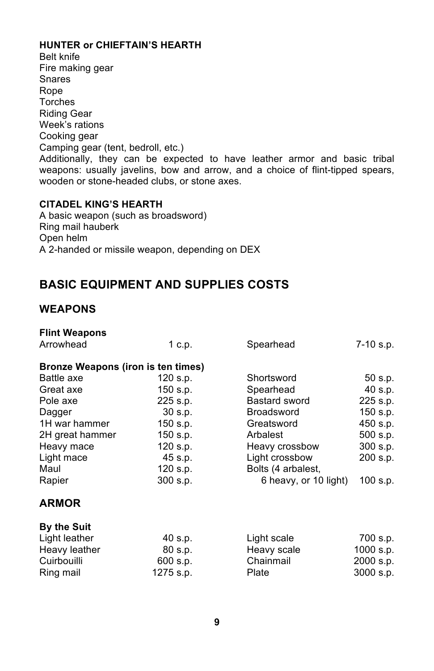# **HUNTER or CHIEFTAIN'S HEARTH**

Belt knife Fire making gear Snares Rope Torches Riding Gear Week's rations Cooking gear Camping gear (tent, bedroll, etc.) Additionally, they can be expected to have leather armor and basic tribal weapons: usually javelins, bow and arrow, and a choice of flint-tipped spears, wooden or stone-headed clubs, or stone axes.

# **CITADEL KING'S HEARTH**

A basic weapon (such as broadsword) Ring mail hauberk Open helm A 2-handed or missile weapon, depending on DEX

# **BASIC EQUIPMENT AND SUPPLIES COSTS**

# **WEAPONS**

| 1 c.p.                             | Spearhead             | 7-10 s.p.  |
|------------------------------------|-----------------------|------------|
| Bronze Weapons (iron is ten times) |                       |            |
|                                    |                       | 50 s.p.    |
| $150$ s.p.                         | Spearhead             | 40 s.p.    |
| 225 s.p.                           | Bastard sword         | 225 s.p.   |
| $30$ s.p.                          | <b>Broadsword</b>     | 150 s.p.   |
| $150$ s.p.                         | Greatsword            | 450 s.p.   |
| $150$ s.p.                         | Arbalest              | 500 s.p.   |
| 120 s.p.                           | Heavy crossbow        | 300 s.p.   |
| 45 s.p.                            | Light crossbow        | 200 s.p.   |
| $120$ s.p.                         | Bolts (4 arbalest,    |            |
| 300 s.p.                           | 6 heavy, or 10 light) | $100$ s.p. |
|                                    |                       |            |
|                                    |                       |            |
| 40 s.p.                            | Light scale           | 700 s.p.   |
| 80 s.p.                            | Heavy scale           | 1000 s.p.  |
| 600 s.p.                           | Chainmail             | 2000 s.p.  |
| 1275 s.p.                          | Plate                 | 3000 s.p.  |
|                                    | 120 s.p.              | Shortsword |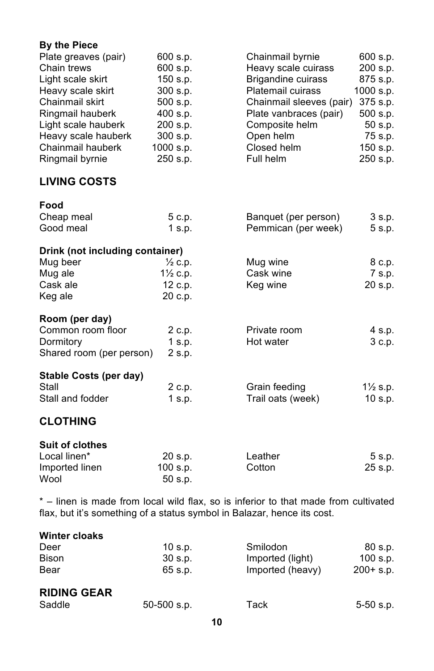# **By the Piece**

| Plate greaves (pair)            | 600 s.p.              | Chainmail byrnie          | 600 s.p.            |
|---------------------------------|-----------------------|---------------------------|---------------------|
| Chain trews                     | 600 s.p.              | Heavy scale cuirass       | 200 s.p.            |
| Light scale skirt               | 150 s.p.              | <b>Brigandine cuirass</b> | 875 s.p.            |
| Heavy scale skirt               | 300 s.p.              | <b>Platemail cuirass</b>  | 1000 s.p.           |
| Chainmail skirt                 | 500 s.p.              | Chainmail sleeves (pair)  | 375 s.p.            |
| Ringmail hauberk                | 400 s.p.              | Plate vanbraces (pair)    | 500 s.p.            |
| Light scale hauberk             | 200 s.p.              | Composite helm            | 50 s.p.             |
| Heavy scale hauberk             | 300 s.p.              | Open helm                 | 75 s.p.             |
| Chainmail hauberk               | 1000 s.p.             | Closed helm               | 150 s.p.            |
| Ringmail byrnie                 | 250 s.p.              | Full helm                 | 250 s.p.            |
| <b>LIVING COSTS</b>             |                       |                           |                     |
| Food                            |                       |                           |                     |
| Cheap meal                      | 5 c.p.                | Banquet (per person)      | 3 s.p.              |
| Good meal                       | 1 s.p.                | Pemmican (per week)       | 5 s.p.              |
| Drink (not including container) |                       |                           |                     |
| Mug beer                        | $\frac{1}{2}$ c.p.    | Mug wine                  | 8 c.p.              |
| Mug ale                         | 11/ <sub>2</sub> c.p. | Cask wine                 | 7 s.p.              |
| Cask ale                        | 12 c.p.               | Keg wine                  | 20 s.p.             |
| Keg ale                         | 20 c.p.               |                           |                     |
| Room (per day)                  |                       |                           |                     |
| Common room floor               | 2 c.p.                | Private room              | 4 s.p.              |
| Dormitory                       | $1$ s.p.              | Hot water                 | 3 c.p.              |
| Shared room (per person)        | 2 s.p.                |                           |                     |
| Stable Costs (per day)          |                       |                           |                     |
| Stall                           | 2 c.p.                | Grain feeding             | $1\frac{1}{2}$ s.p. |
| Stall and fodder                | 1 s.p.                | Trail oats (week)         | 10 s.p.             |
| <b>CLOTHING</b>                 |                       |                           |                     |
| <b>Suit of clothes</b>          |                       |                           |                     |
| Local linen*                    | 20 s.p.               | Leather                   | 5 s.p.              |
| Imported linen                  | 100 s.p.              | Cotton                    | 25 s.p.             |
| Wool                            | 50 s.p.               |                           |                     |

\* – linen is made from local wild flax, so is inferior to that made from cultivated flax, but it's something of a status symbol in Balazar, hence its cost.

| $10$ s.p. | Smilodon         | 80 s.p.      |
|-----------|------------------|--------------|
| 30 s.p.   | Imported (light) | 100 s.p.     |
| 65 s.p.   | Imported (heavy) | $200 + s.p.$ |
|           |                  |              |

# **RIDING GEAR**

| Saddle | 50-500 s.p. | Tack | 5-50 s.p. |
|--------|-------------|------|-----------|
|--------|-------------|------|-----------|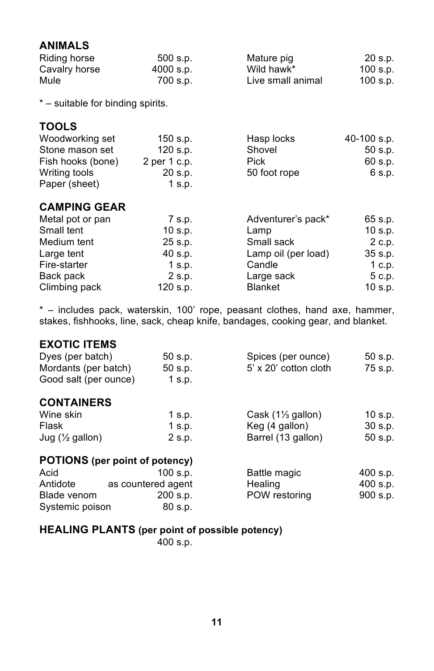# **ANIMALS**

| Riding horse  | $500$ s.p. | Mature pig        | 20 s.p.  |
|---------------|------------|-------------------|----------|
| Cavalry horse | 4000 s.p.  | Wild hawk*        | 100 s.p. |
| Mule          | 700 s.p.   | Live small animal | 100 s.p. |

\* – suitable for binding spirits.

# **TOOLS**

| Woodworking set   | $150$ s.p.   | Hasp locks   | 40-100 s.p. |
|-------------------|--------------|--------------|-------------|
| Stone mason set   | $120$ s.p.   | Shovel       | 50 s.p.     |
| Fish hooks (bone) | 2 per 1 c.p. | <b>Pick</b>  | 60 s.p.     |
| Writing tools     | 20 s.p.      | 50 foot rope | 6 s.p.      |
| Paper (sheet)     | 1 s.p.       |              |             |

# **CAMPING GEAR**

| Metal pot or pan | 7 s.p.     | Adventurer's pack*  | 65 s.p.   |
|------------------|------------|---------------------|-----------|
| Small tent       | $10$ s.p.  | Lamp                | $10$ s.p. |
| Medium tent      | 25 s.p.    | Small sack          | 2 c.p.    |
| Large tent       | 40 s.p.    | Lamp oil (per load) | $35$ s.p. |
| Fire-starter     | $1$ s.p.   | Candle              | 1 c.p.    |
| Back pack        | 2 s.p.     | Large sack          | 5 c.p.    |
| Climbing pack    | $120$ s.p. | <b>Blanket</b>      | $10$ s.p. |

\* – includes pack, waterskin, 100' rope, peasant clothes, hand axe, hammer, stakes, fishhooks, line, sack, cheap knife, bandages, cooking gear, and blanket.

# **EXOTIC ITEMS**

| Dyes (per batch)           | 50 s.p.                               | Spices (per ounce)           | 50 s.p.   |
|----------------------------|---------------------------------------|------------------------------|-----------|
| Mordants (per batch)       | 50 s.p.                               | 5' x 20' cotton cloth        | 75 s.p.   |
| Good salt (per ounce)      | $1$ s.p.                              |                              |           |
| <b>CONTAINERS</b>          |                                       |                              |           |
| Wine skin                  | 1 s.p.                                | Cask $(1\frac{1}{3}$ gallon) | 10 s.p.   |
| Flask                      | $1$ s.p.                              | Keg (4 gallon)               | $30$ s.p. |
| Jug $(\frac{1}{2}$ gallon) | 2 s.p.                                | Barrel (13 gallon)           | 50 s.p.   |
|                            | <b>POTIONS</b> (per point of potency) |                              |           |
| Acid                       | $100$ s.p.                            | Battle magic                 | 400 s.p.  |
| Antidote                   | as countered agent                    | Healing                      | 400 s.p.  |
| Blade venom                | 200 s.p.                              | POW restoring                | 900 s.p.  |
| Systemic poison            | 80 s.p.                               |                              |           |
|                            |                                       |                              |           |

# **HEALING PLANTS (per point of possible potency)**

400 s.p.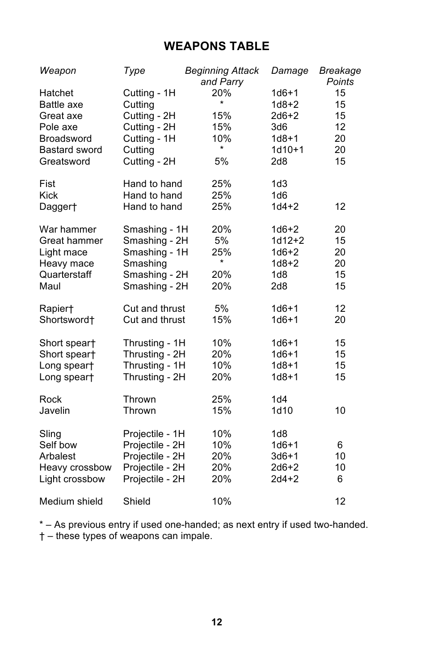# **WEAPONS TABLE**

| Weapon                             | Type                                    | <b>Beginning Attack</b><br>and Parry | Damage                          | Breakage<br>Points |
|------------------------------------|-----------------------------------------|--------------------------------------|---------------------------------|--------------------|
| Hatchet<br>Battle axe<br>Great axe | Cutting - 1H<br>Cutting<br>Cutting - 2H | 20%<br>$\star$<br>15%                | $1d6+1$<br>$1d8 + 2$<br>$2d6+2$ | 15<br>15<br>15     |
| Pole axe                           | Cutting - 2H                            | 15%                                  | 3d6                             | 12                 |
| <b>Broadsword</b>                  | Cutting - 1H                            | 10%<br>$\star$                       | $1d8 + 1$                       | 20                 |
| <b>Bastard sword</b><br>Greatsword | Cutting<br>Cutting - 2H                 | 5%                                   | $1d10+1$<br>2d8                 | 20<br>15           |
|                                    |                                         |                                      |                                 |                    |
| Fist                               | Hand to hand                            | 25%                                  | 1d3                             |                    |
| <b>Kick</b>                        | Hand to hand                            | 25%                                  | 1d6                             |                    |
| Dagger†                            | Hand to hand                            | 25%                                  | $1d4 + 2$                       | 12                 |
| War hammer                         | Smashing - 1H                           | 20%                                  | $1d6+2$                         | 20                 |
| Great hammer                       | Smashing - 2H                           | 5%                                   | $1d12 + 2$                      | 15                 |
| Light mace                         | Smashing - 1H                           | 25%                                  | $1d6+2$                         | 20                 |
| Heavy mace                         | Smashing                                | $\star$                              | $1d8 + 2$                       | 20                 |
| Quarterstaff                       | Smashing - 2H                           | 20%                                  | 1d8                             | 15                 |
| Maul                               | Smashing - 2H                           | 20%                                  | 2d8                             | 15                 |
| Rapier†                            | Cut and thrust                          | 5%                                   | $1d6+1$                         | 12                 |
| Shortsword <sup>+</sup>            | Cut and thrust                          | 15%                                  | $1d6 + 1$                       | 20                 |
| Short spear†                       | Thrusting - 1H                          | 10%                                  | $1d6+1$                         | 15                 |
| Short spear†                       | Thrusting - 2H                          | 20%                                  | $1d6 + 1$                       | 15                 |
| Long speart                        | Thrusting - 1H                          | 10%                                  | $1d8 + 1$                       | 15                 |
| Long speart                        | Thrusting - 2H                          | 20%                                  | $1d8 + 1$                       | 15                 |
| Rock                               | Thrown                                  | 25%                                  | 1d4                             |                    |
| Javelin                            | Thrown                                  | 15%                                  | 1d10                            | 10                 |
|                                    |                                         |                                      |                                 |                    |
| Sling                              | Projectile - 1H                         | 10%                                  | 1d8                             |                    |
| Self bow                           | Projectile - 2H                         | 10%                                  | $1d6 + 1$                       | 6                  |
| Arbalest                           | Projectile - 2H                         | 20%                                  | $3d6+1$                         | 10                 |
| Heavy crossbow                     | Projectile - 2H                         | 20%                                  | $2d6+2$                         | 10                 |
| Light crossbow                     | Projectile - 2H                         | 20%                                  | $2d4+2$                         | 6                  |
| Medium shield                      | Shield                                  | 10%                                  |                                 | 12                 |

\* – As previous entry if used one-handed; as next entry if used two-handed. † – these types of weapons can impale.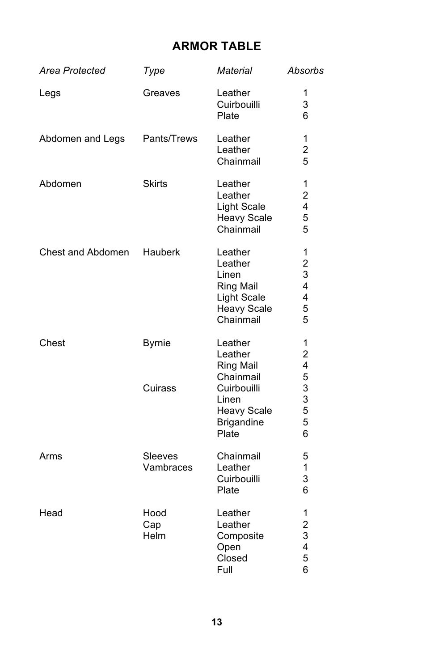# **ARMOR TABLE**

| Area Protected    | Type                     | <b>Material</b>                                                                                   | Absorbs                                          |
|-------------------|--------------------------|---------------------------------------------------------------------------------------------------|--------------------------------------------------|
| Legs              | Greaves                  | Leather<br>Cuirbouilli<br>Plate                                                                   | 1<br>3<br>6                                      |
| Abdomen and Legs  | Pants/Trews              | Leather<br>Leather<br>Chainmail                                                                   | 1<br>2<br>5                                      |
| Abdomen           | <b>Skirts</b>            | Leather<br>Leather<br>Light Scale<br><b>Heavy Scale</b><br>Chainmail                              | 1<br>$\overline{c}$<br>4<br>5<br>5               |
| Chest and Abdomen | Hauberk                  | Leather<br>Leather<br>Linen<br><b>Ring Mail</b><br>Light Scale<br><b>Heavy Scale</b><br>Chainmail | 1<br>$\overline{c}$<br>3<br>4<br>4<br>5<br>5     |
| Chest             | <b>Byrnie</b><br>Cuirass | Leather<br>Leather<br><b>Ring Mail</b><br>Chainmail<br>Cuirbouilli                                | 1<br>$\overline{c}$<br>4<br>5<br>3               |
|                   |                          | Linen<br><b>Heavy Scale</b><br><b>Brigandine</b><br>Plate                                         | 3<br>5<br>5<br>6                                 |
| Arms              | Sleeves<br>Vambraces     | Chainmail<br>Leather<br>Cuirbouilli<br>Plate                                                      | 5<br>1<br>3<br>6                                 |
| Head              | Hood<br>Cap<br>Helm      | Leather<br>Leather<br>Composite<br>Open<br>Closed<br>Full                                         | 1<br>$\overline{\mathbf{c}}$<br>3<br>4<br>5<br>6 |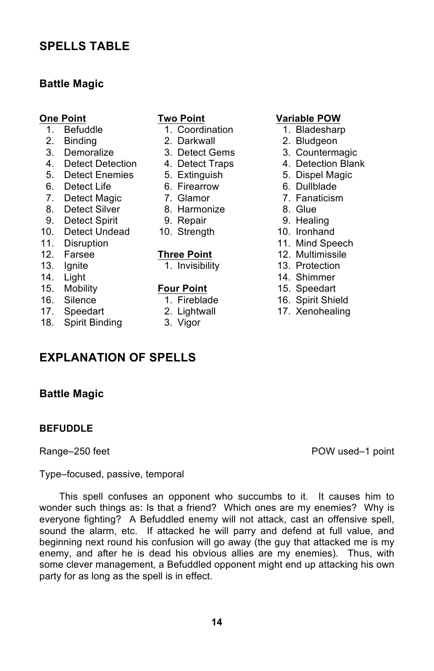# **SPELLS TABLE**

# **Battle Magic**

- 
- 
- 
- 
- 5. Detect Enemies 5. Extinguish 5. Dispel Magic
- 6. Detect Life 6. Firearrow 6. Dullblade
- 7. Detect Magic <sup>7</sup>. Glamor **7. Fanaticism**<br>8. Detect Silver 8. Harmonize **7. Glue**
- 8. Detect Silver 8. Harmonize 8. Glue
- 9. Detect Spirit 9. Repair 9. Healing
- 10. Detect Undead 10. Strength 10. Ironhand
- 
- 
- 
- 
- 15. Mobility **Four Point** 15. Speedart
- 
- 
- 18. Spirit Binding 3. Vigor

- 1. Befuddle 1. Coordination 1. Bladesharp
	-
	-
	-
	-
	-
	-
	-
	-
	-

- 
- 

# **One Point Two Point Conduct 1. Befuddle POW**<br> **1. Befuddle 1. Coordination 1. Bladeshard**

- 
- 2. Binding 2. Darkwall 2. Bludgeon
- 3. Demoralize 3. Detect Gems 3. Countermagic
- 4. Detect Detection 4. Detect Traps 4. Detection Blank
	-
	-
	-
	-
	-
	-
- 11. Disruption **11. Mind Speech**<br>12. Farsee **12. Multimissile** 12. Multimissile
	- **Three Point** 12. Multimissile
- 13. Ignite 1. Invisibility 13. Protection
- 14. Light 14. Shimmer
	-
- 16. Silence 1. Fireblade 16. Spirit Shield
- 17. Speedart 2. Lightwall 17. Xenohealing

**BEFUDDLE**

**Battle Magic**

Range–250 feet **POW** used–1 point

Type–focused, passive, temporal

**EXPLANATION OF SPELLS**

This spell confuses an opponent who succumbs to it. It causes him to wonder such things as: Is that a friend? Which ones are my enemies? Why is everyone fighting? A Befuddled enemy will not attack, cast an offensive spell, sound the alarm, etc. If attacked he will parry and defend at full value, and beginning next round his confusion will go away (the guy that attacked me is my enemy, and after he is dead his obvious allies are my enemies). Thus, with some clever management, a Befuddled opponent might end up attacking his own party for as long as the spell is in effect.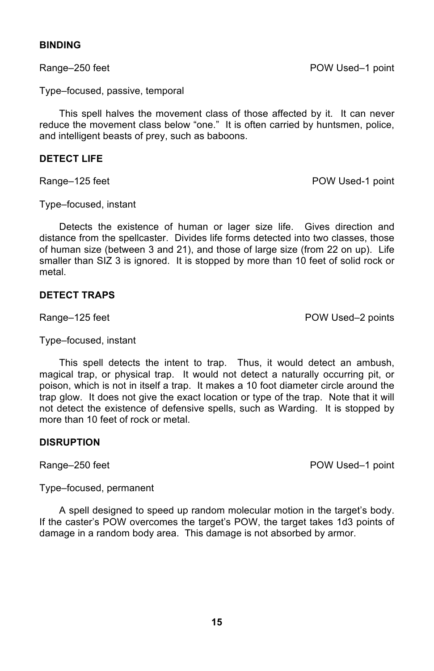# **BINDING**

Range–250 feet POW Used–1 point

Type–focused, passive, temporal

This spell halves the movement class of those affected by it. It can never reduce the movement class below "one." It is often carried by huntsmen, police, and intelligent beasts of prey, such as baboons.

# **DETECT LIFE**

Range–125 feet **POW Used-1** point

Type–focused, instant

Detects the existence of human or lager size life. Gives direction and distance from the spellcaster. Divides life forms detected into two classes, those of human size (between 3 and 21), and those of large size (from 22 on up). Life smaller than SIZ 3 is ignored. It is stopped by more than 10 feet of solid rock or metal.

# **DETECT TRAPS**

Range–125 feet POW Used–2 points

Type–focused, instant

This spell detects the intent to trap. Thus, it would detect an ambush, magical trap, or physical trap. It would not detect a naturally occurring pit, or poison, which is not in itself a trap. It makes a 10 foot diameter circle around the trap glow. It does not give the exact location or type of the trap. Note that it will not detect the existence of defensive spells, such as Warding. It is stopped by more than 10 feet of rock or metal.

## **DISRUPTION**

Range–250 feet POW Used–1 point

Type–focused, permanent

A spell designed to speed up random molecular motion in the target's body. If the caster's POW overcomes the target's POW, the target takes 1d3 points of damage in a random body area. This damage is not absorbed by armor.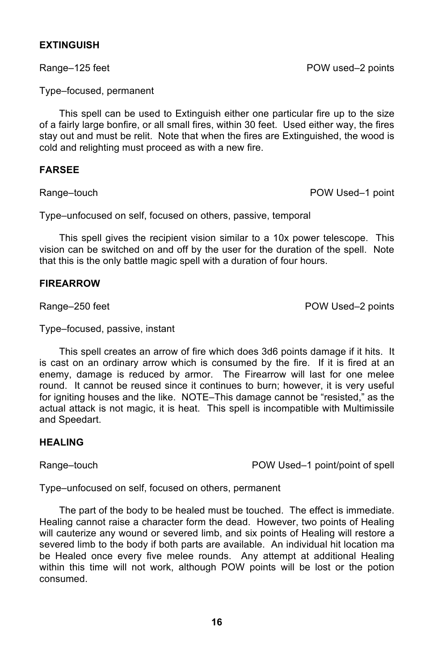# **EXTINGUISH**

Type–focused, permanent

This spell can be used to Extinguish either one particular fire up to the size of a fairly large bonfire, or all small fires, within 30 feet. Used either way, the fires stay out and must be relit. Note that when the fires are Extinguished, the wood is cold and relighting must proceed as with a new fire.

# **FARSEE**

Range–touch **POW Used–1** point

Type–unfocused on self, focused on others, passive, temporal

This spell gives the recipient vision similar to a 10x power telescope. This vision can be switched on and off by the user for the duration of the spell. Note that this is the only battle magic spell with a duration of four hours.

## **FIREARROW**

Range–250 feet **POW Used–2 points** 

Type–focused, passive, instant

This spell creates an arrow of fire which does 3d6 points damage if it hits. It is cast on an ordinary arrow which is consumed by the fire. If it is fired at an enemy, damage is reduced by armor. The Firearrow will last for one melee round. It cannot be reused since it continues to burn; however, it is very useful for igniting houses and the like. NOTE–This damage cannot be "resisted," as the actual attack is not magic, it is heat. This spell is incompatible with Multimissile and Speedart.

# **HEALING**

Range–touch **POW Used–1** point/point of spell

Type–unfocused on self, focused on others, permanent

The part of the body to be healed must be touched. The effect is immediate. Healing cannot raise a character form the dead. However, two points of Healing will cauterize any wound or severed limb, and six points of Healing will restore a severed limb to the body if both parts are available. An individual hit location ma be Healed once every five melee rounds. Any attempt at additional Healing within this time will not work, although POW points will be lost or the potion consumed.

Range–125 feet **POW** used–2 points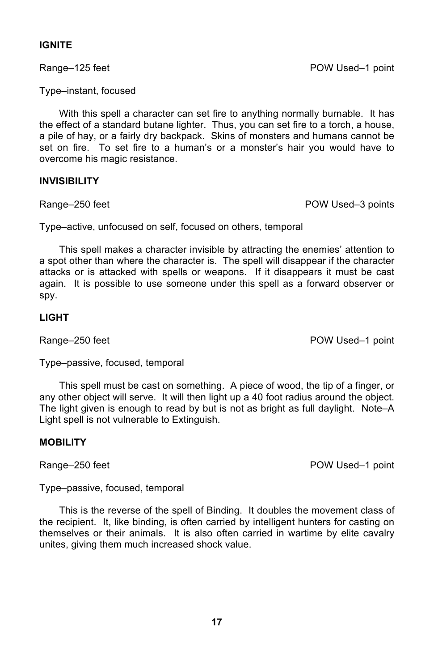# **IGNITE**

Type–instant, focused

With this spell a character can set fire to anything normally burnable. It has the effect of a standard butane lighter. Thus, you can set fire to a torch, a house, a pile of hay, or a fairly dry backpack. Skins of monsters and humans cannot be set on fire. To set fire to a human's or a monster's hair you would have to overcome his magic resistance.

## **INVISIBILITY**

Range–250 feet **POW Used–3** points

Type–active, unfocused on self, focused on others, temporal

This spell makes a character invisible by attracting the enemies' attention to a spot other than where the character is. The spell will disappear if the character attacks or is attacked with spells or weapons. If it disappears it must be cast again. It is possible to use someone under this spell as a forward observer or spy.

# **LIGHT**

Range–250 feet POW Used–1 point

Type–passive, focused, temporal

This spell must be cast on something. A piece of wood, the tip of a finger, or any other object will serve. It will then light up a 40 foot radius around the object. The light given is enough to read by but is not as bright as full daylight. Note–A Light spell is not vulnerable to Extinguish.

## **MOBILITY**

Range–250 feet POW Used–1 point

Type–passive, focused, temporal

This is the reverse of the spell of Binding. It doubles the movement class of the recipient. It, like binding, is often carried by intelligent hunters for casting on themselves or their animals. It is also often carried in wartime by elite cavalry unites, giving them much increased shock value.

Range–125 feet POW Used–1 point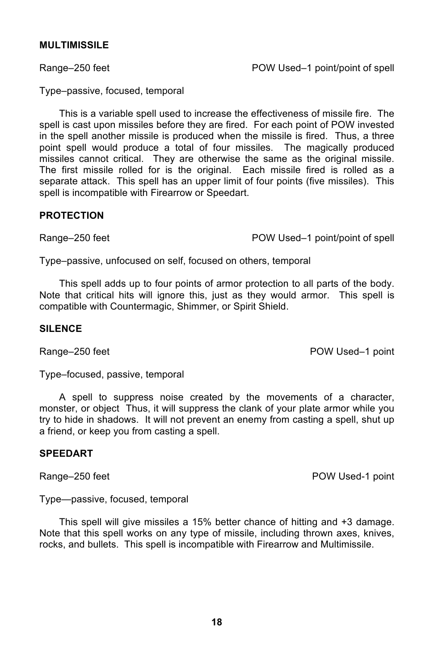## **MULTIMISSILE**

Range–250 feet **POW Used–1 point/point of spell** 

Type–passive, focused, temporal

This is a variable spell used to increase the effectiveness of missile fire. The spell is cast upon missiles before they are fired. For each point of POW invested in the spell another missile is produced when the missile is fired. Thus, a three point spell would produce a total of four missiles. The magically produced missiles cannot critical. They are otherwise the same as the original missile. The first missile rolled for is the original. Each missile fired is rolled as a separate attack. This spell has an upper limit of four points (five missiles). This spell is incompatible with Firearrow or Speedart.

## **PROTECTION**

Range–250 feet **POW Used–1 point/point of spell** 

Type–passive, unfocused on self, focused on others, temporal

This spell adds up to four points of armor protection to all parts of the body. Note that critical hits will ignore this, just as they would armor. This spell is compatible with Countermagic, Shimmer, or Spirit Shield.

## **SILENCE**

Range–250 feet **POW Used–1** point

Type–focused, passive, temporal

A spell to suppress noise created by the movements of a character, monster, or object Thus, it will suppress the clank of your plate armor while you try to hide in shadows. It will not prevent an enemy from casting a spell, shut up a friend, or keep you from casting a spell.

# **SPEEDART**

Range–250 feet **POW Used-1 point** 

Type—passive, focused, temporal

This spell will give missiles a 15% better chance of hitting and +3 damage. Note that this spell works on any type of missile, including thrown axes, knives, rocks, and bullets. This spell is incompatible with Firearrow and Multimissile.